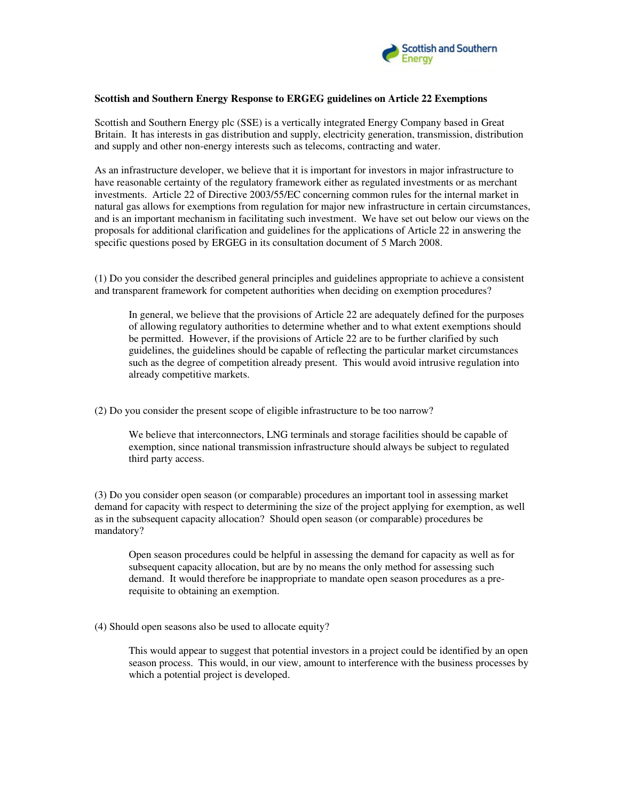

## **Scottish and Southern Energy Response to ERGEG guidelines on Article 22 Exemptions**

Scottish and Southern Energy plc (SSE) is a vertically integrated Energy Company based in Great Britain. It has interests in gas distribution and supply, electricity generation, transmission, distribution and supply and other non-energy interests such as telecoms, contracting and water.

As an infrastructure developer, we believe that it is important for investors in major infrastructure to have reasonable certainty of the regulatory framework either as regulated investments or as merchant investments. Article 22 of Directive 2003/55/EC concerning common rules for the internal market in natural gas allows for exemptions from regulation for major new infrastructure in certain circumstances, and is an important mechanism in facilitating such investment. We have set out below our views on the proposals for additional clarification and guidelines for the applications of Article 22 in answering the specific questions posed by ERGEG in its consultation document of 5 March 2008.

(1) Do you consider the described general principles and guidelines appropriate to achieve a consistent and transparent framework for competent authorities when deciding on exemption procedures?

In general, we believe that the provisions of Article 22 are adequately defined for the purposes of allowing regulatory authorities to determine whether and to what extent exemptions should be permitted. However, if the provisions of Article 22 are to be further clarified by such guidelines, the guidelines should be capable of reflecting the particular market circumstances such as the degree of competition already present. This would avoid intrusive regulation into already competitive markets.

(2) Do you consider the present scope of eligible infrastructure to be too narrow?

We believe that interconnectors, LNG terminals and storage facilities should be capable of exemption, since national transmission infrastructure should always be subject to regulated third party access.

(3) Do you consider open season (or comparable) procedures an important tool in assessing market demand for capacity with respect to determining the size of the project applying for exemption, as well as in the subsequent capacity allocation? Should open season (or comparable) procedures be mandatory?

Open season procedures could be helpful in assessing the demand for capacity as well as for subsequent capacity allocation, but are by no means the only method for assessing such demand. It would therefore be inappropriate to mandate open season procedures as a prerequisite to obtaining an exemption.

(4) Should open seasons also be used to allocate equity?

This would appear to suggest that potential investors in a project could be identified by an open season process. This would, in our view, amount to interference with the business processes by which a potential project is developed.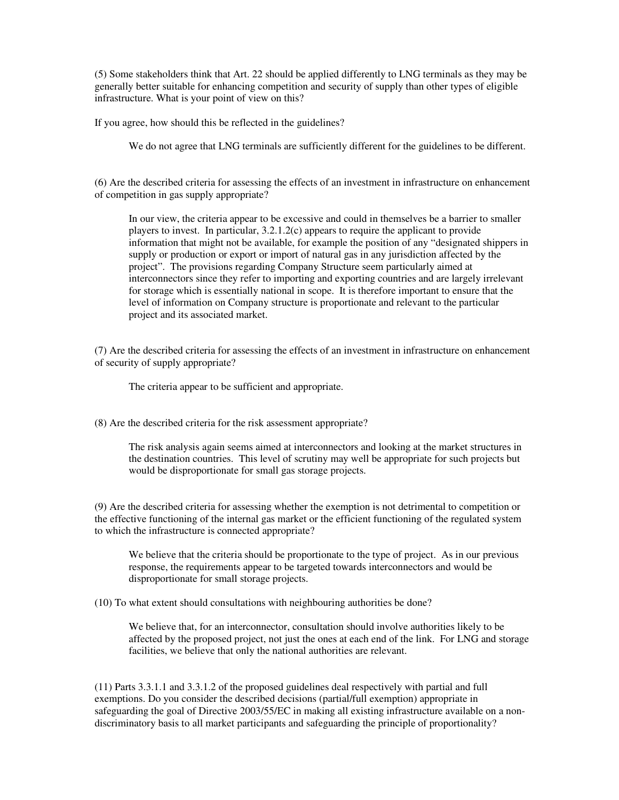(5) Some stakeholders think that Art. 22 should be applied differently to LNG terminals as they may be generally better suitable for enhancing competition and security of supply than other types of eligible infrastructure. What is your point of view on this?

If you agree, how should this be reflected in the guidelines?

We do not agree that LNG terminals are sufficiently different for the guidelines to be different.

(6) Are the described criteria for assessing the effects of an investment in infrastructure on enhancement of competition in gas supply appropriate?

In our view, the criteria appear to be excessive and could in themselves be a barrier to smaller players to invest. In particular, 3.2.1.2(c) appears to require the applicant to provide information that might not be available, for example the position of any "designated shippers in supply or production or export or import of natural gas in any jurisdiction affected by the project". The provisions regarding Company Structure seem particularly aimed at interconnectors since they refer to importing and exporting countries and are largely irrelevant for storage which is essentially national in scope. It is therefore important to ensure that the level of information on Company structure is proportionate and relevant to the particular project and its associated market.

(7) Are the described criteria for assessing the effects of an investment in infrastructure on enhancement of security of supply appropriate?

The criteria appear to be sufficient and appropriate.

(8) Are the described criteria for the risk assessment appropriate?

The risk analysis again seems aimed at interconnectors and looking at the market structures in the destination countries. This level of scrutiny may well be appropriate for such projects but would be disproportionate for small gas storage projects.

(9) Are the described criteria for assessing whether the exemption is not detrimental to competition or the effective functioning of the internal gas market or the efficient functioning of the regulated system to which the infrastructure is connected appropriate?

We believe that the criteria should be proportionate to the type of project. As in our previous response, the requirements appear to be targeted towards interconnectors and would be disproportionate for small storage projects.

(10) To what extent should consultations with neighbouring authorities be done?

We believe that, for an interconnector, consultation should involve authorities likely to be affected by the proposed project, not just the ones at each end of the link. For LNG and storage facilities, we believe that only the national authorities are relevant.

(11) Parts 3.3.1.1 and 3.3.1.2 of the proposed guidelines deal respectively with partial and full exemptions. Do you consider the described decisions (partial/full exemption) appropriate in safeguarding the goal of Directive 2003/55/EC in making all existing infrastructure available on a nondiscriminatory basis to all market participants and safeguarding the principle of proportionality?